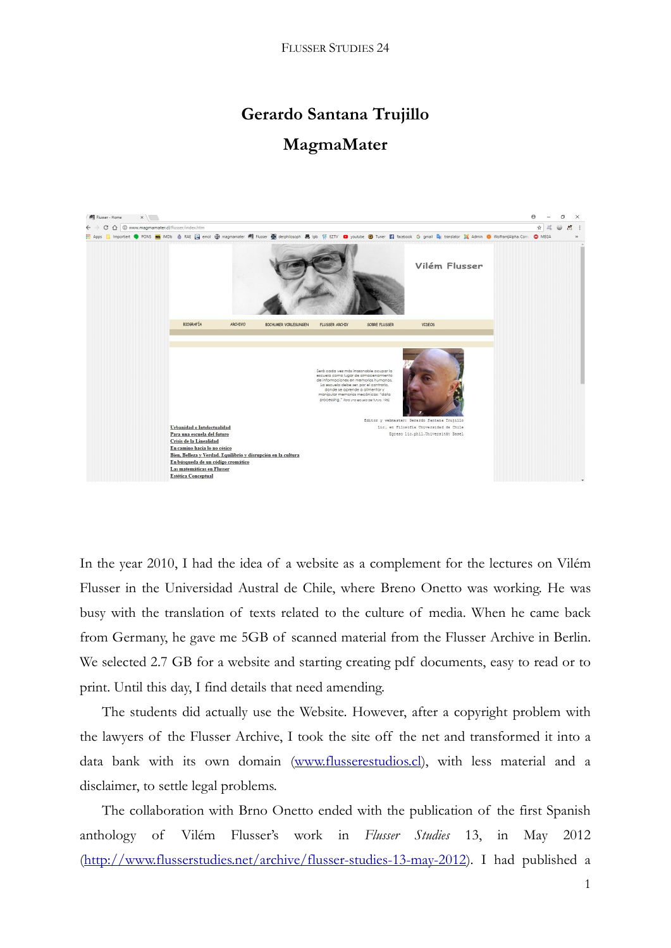## **Gerardo Santana Trujillo**

## **MagmaMater**



In the year 2010, I had the idea of a website as a complement for the lectures on Vilém Flusser in the Universidad Austral de Chile, where Breno Onetto was working. He was busy with the translation of texts related to the culture of media. When he came back from Germany, he gave me 5GB of scanned material from the Flusser Archive in Berlin. We selected 2.7 GB for a website and starting creating pdf documents, easy to read or to print. Until this day, I find details that need amending.

The students did actually use the Website. However, after a copyright problem with the lawyers of the Flusser Archive, I took the site off the net and transformed it into a data bank with its own domain [\(www.flusserestudios.cl\)](http://www.flusserestudios.cl/), with less material and a disclaimer, to settle legal problems.

The collaboration with Brno Onetto ended with the publication of the first Spanish anthology of Vilém Flusser's work in *Flusser Studies* 13, in May 2012 [\(http://www.flusserstudies.net/archive/flusser-studies-13-may-2012\)](http://www.flusserstudies.net/archive/flusser-studies-13-may-2012). I had published a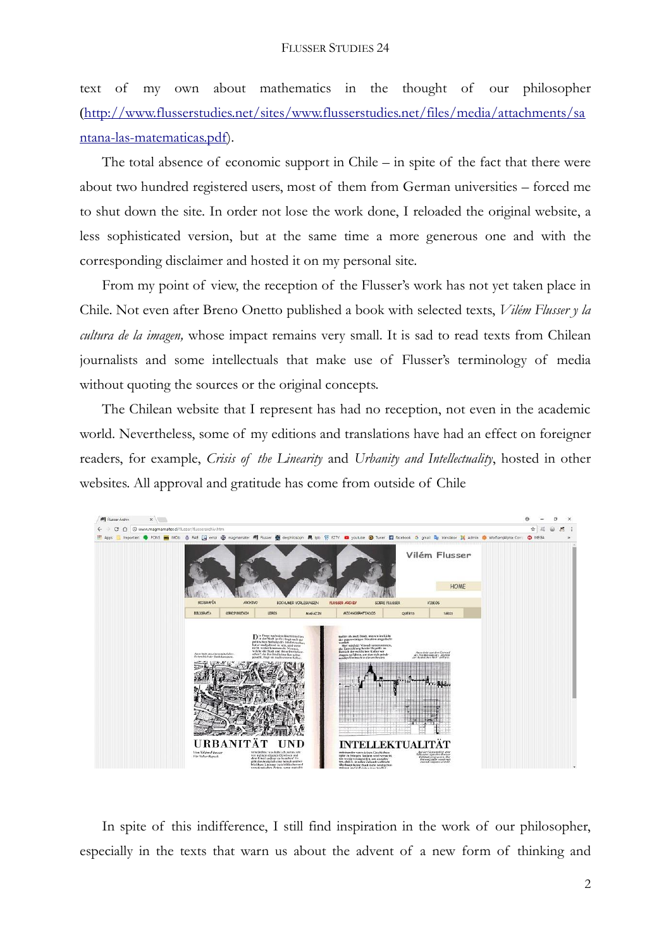text of my own about mathematics in the thought of our philosopher ([http://www.flusserstudies.net/sites/www.flusserstudies.net/files/media/attachments/sa](http://www.flusserstudies.net/sites/www.flusserstudies.net/files/media/attachments/santana-las-matematicas.pdf) [ntana-las-matematicas.pdf\)](http://www.flusserstudies.net/sites/www.flusserstudies.net/files/media/attachments/santana-las-matematicas.pdf).

The total absence of economic support in Chile – in spite of the fact that there were about two hundred registered users, most of them from German universities – forced me to shut down the site. In order not lose the work done, I reloaded the original website, a less sophisticated version, but at the same time a more generous one and with the corresponding disclaimer and hosted it on my personal site.

From my point of view, the reception of the Flusser's work has not yet taken place in Chile. Not even after Breno Onetto published a book with selected texts, *Vilém Flusser y la cultura de la imagen,* whose impact remains very small. It is sad to read texts from Chilean journalists and some intellectuals that make use of Flusser's terminology of media without quoting the sources or the original concepts.

The Chilean website that I represent has had no reception, not even in the academic world. Nevertheless, some of my editions and translations have had an effect on foreigner readers, for example, *Crisis of the Linearity* and *Urbanity and Intellectuality*, hosted in other websites. All approval and gratitude has come from outside of Chile



In spite of this indifference, I still find inspiration in the work of our philosopher, especially in the texts that warn us about the advent of a new form of thinking and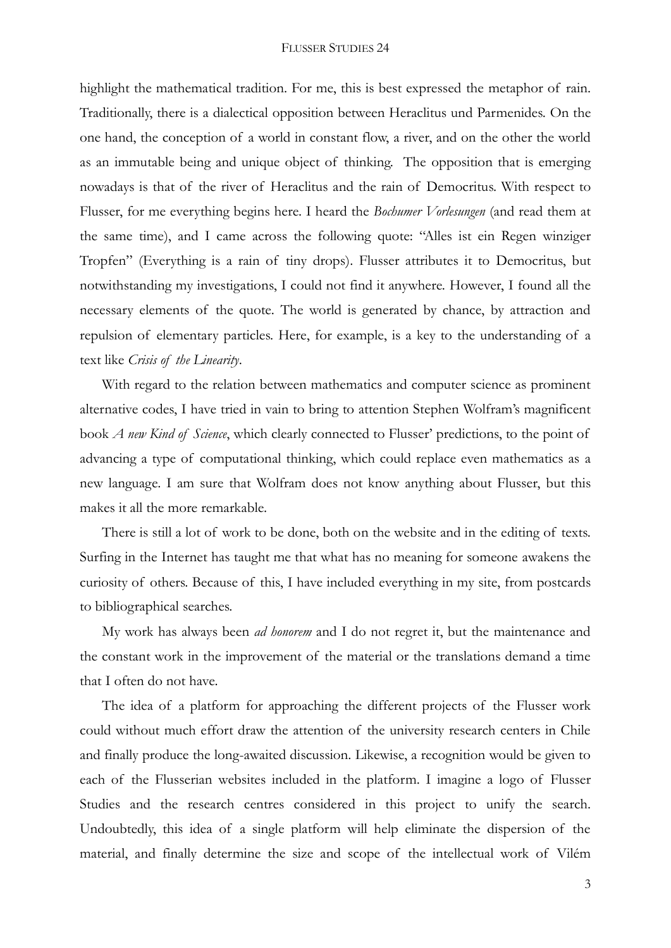highlight the mathematical tradition. For me, this is best expressed the metaphor of rain. Traditionally, there is a dialectical opposition between Heraclitus und Parmenides. On the one hand, the conception of a world in constant flow, a river, and on the other the world as an immutable being and unique object of thinking. The opposition that is emerging nowadays is that of the river of Heraclitus and the rain of Democritus. With respect to Flusser, for me everything begins here. I heard the *Bochumer Vorlesungen* (and read them at the same time), and I came across the following quote: "Alles ist ein Regen winziger Tropfen" (Everything is a rain of tiny drops). Flusser attributes it to Democritus, but notwithstanding my investigations, I could not find it anywhere. However, I found all the necessary elements of the quote. The world is generated by chance, by attraction and repulsion of elementary particles. Here, for example, is a key to the understanding of a text like *Crisis of the Linearity*.

With regard to the relation between mathematics and computer science as prominent alternative codes, I have tried in vain to bring to attention Stephen Wolfram's magnificent book *A new Kind of Science*, which clearly connected to Flusser' predictions, to the point of advancing a type of computational thinking, which could replace even mathematics as a new language. I am sure that Wolfram does not know anything about Flusser, but this makes it all the more remarkable.

There is still a lot of work to be done, both on the website and in the editing of texts. Surfing in the Internet has taught me that what has no meaning for someone awakens the curiosity of others. Because of this, I have included everything in my site, from postcards to bibliographical searches.

My work has always been *ad honorem* and I do not regret it, but the maintenance and the constant work in the improvement of the material or the translations demand a time that I often do not have.

The idea of a platform for approaching the different projects of the Flusser work could without much effort draw the attention of the university research centers in Chile and finally produce the long-awaited discussion. Likewise, a recognition would be given to each of the Flusserian websites included in the platform. I imagine a logo of Flusser Studies and the research centres considered in this project to unify the search. Undoubtedly, this idea of a single platform will help eliminate the dispersion of the material, and finally determine the size and scope of the intellectual work of Vilém